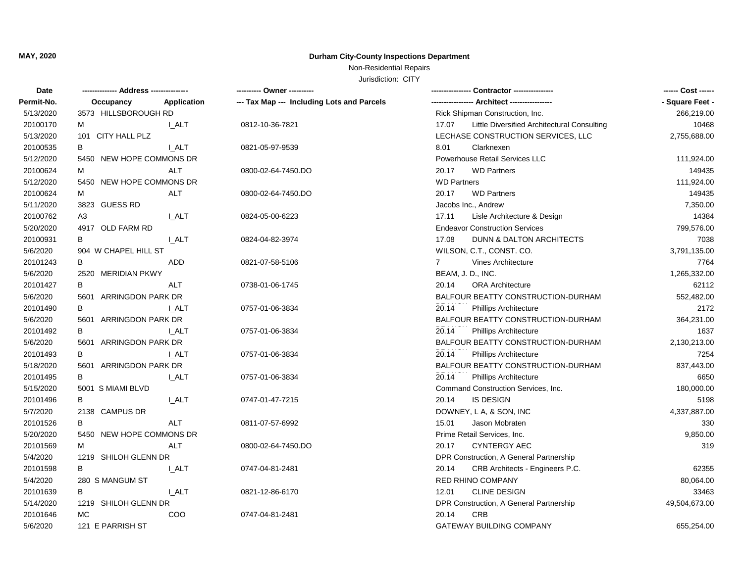## **MAY, 2020 Durham City-County Inspections Department**

Non-Residential Repairs

Jurisdiction: CITY

| Date       |                          |                                            | --- Contractor ----------------                      | ------ Cost ------ |
|------------|--------------------------|--------------------------------------------|------------------------------------------------------|--------------------|
| Permit-No. | Occupancy<br>Application | --- Tax Map --- Including Lots and Parcels |                                                      | - Square Feet -    |
| 5/13/2020  | 3573 HILLSBOROUGH RD     |                                            | Rick Shipman Construction, Inc.                      | 266,219.00         |
| 20100170   | М<br>I ALT               | 0812-10-36-7821                            | 17.07<br>Little Diversified Architectural Consulting | 10468              |
| 5/13/2020  | 101 CITY HALL PLZ        |                                            | LECHASE CONSTRUCTION SERVICES, LLC                   | 2,755,688.00       |
| 20100535   | B<br>I_ALT               | 0821-05-97-9539                            | Clarknexen<br>8.01                                   |                    |
| 5/12/2020  | 5450 NEW HOPE COMMONS DR |                                            | Powerhouse Retail Services LLC                       | 111,924.00         |
| 20100624   | <b>ALT</b><br>м          | 0800-02-64-7450.DO                         | 20.17<br><b>WD Partners</b>                          | 149435             |
| 5/12/2020  | 5450 NEW HOPE COMMONS DR |                                            | <b>WD Partners</b>                                   | 111,924.00         |
| 20100624   | ALT<br>М                 | 0800-02-64-7450.DO                         | 20.17<br><b>WD Partners</b>                          | 149435             |
| 5/11/2020  | 3823 GUESS RD            |                                            | Jacobs Inc., Andrew                                  | 7,350.00           |
| 20100762   | I ALT<br>A3              | 0824-05-00-6223                            | 17.11<br>Lisle Architecture & Design                 | 14384              |
| 5/20/2020  | 4917 OLD FARM RD         |                                            | <b>Endeavor Construction Services</b>                | 799,576.00         |
| 20100931   | <b>I_ALT</b><br>B        | 0824-04-82-3974                            | 17.08<br>DUNN & DALTON ARCHITECTS                    | 7038               |
| 5/6/2020   | 904 W CHAPEL HILL ST     |                                            | WILSON, C.T., CONST. CO.                             | 3,791,135.00       |
| 20101243   | B<br><b>ADD</b>          | 0821-07-58-5106                            | $7^{\circ}$<br>Vines Architecture                    | 7764               |
| 5/6/2020   | 2520 MERIDIAN PKWY       |                                            | BEAM, J. D., INC.                                    | 1,265,332.00       |
| 20101427   | В<br><b>ALT</b>          | 0738-01-06-1745                            | 20.14<br><b>ORA Architecture</b>                     | 62112              |
| 5/6/2020   | 5601 ARRINGDON PARK DR   |                                            | BALFOUR BEATTY CONSTRUCTION-DURHAM                   | 552,482.00         |
| 20101490   | B<br>I ALT               | 0757-01-06-3834                            | 20.14<br><b>Phillips Architecture</b>                | 2172               |
| 5/6/2020   | 5601 ARRINGDON PARK DR   |                                            | BALFOUR BEATTY CONSTRUCTION-DURHAM                   | 364,231.00         |
| 20101492   | B<br>I ALT               | 0757-01-06-3834                            | 20.14<br><b>Phillips Architecture</b>                | 1637               |
| 5/6/2020   | 5601 ARRINGDON PARK DR   |                                            | BALFOUR BEATTY CONSTRUCTION-DURHAM                   | 2,130,213.00       |
| 20101493   | B<br>I ALT               | 0757-01-06-3834                            | 20.14<br><b>Phillips Architecture</b>                | 7254               |
| 5/18/2020  | 5601 ARRINGDON PARK DR   |                                            | BALFOUR BEATTY CONSTRUCTION-DURHAM                   | 837,443.00         |
| 20101495   | B<br><b>L_ALT</b>        | 0757-01-06-3834                            | 20.14<br><b>Phillips Architecture</b>                | 6650               |
| 5/15/2020  | 5001 S MIAMI BLVD        |                                            | Command Construction Services, Inc.                  | 180,000.00         |
| 20101496   | В<br>I ALT               | 0747-01-47-7215                            | 20.14<br><b>IS DESIGN</b>                            | 5198               |
| 5/7/2020   | 2138 CAMPUS DR           |                                            | DOWNEY, L A, & SON, INC                              | 4,337,887.00       |
| 20101526   | B<br><b>ALT</b>          | 0811-07-57-6992                            | 15.01<br>Jason Mobraten                              | 330                |
| 5/20/2020  | 5450 NEW HOPE COMMONS DR |                                            | Prime Retail Services, Inc.                          | 9,850.00           |
| 20101569   | М<br><b>ALT</b>          | 0800-02-64-7450.DO                         | <b>CYNTERGY AEC</b><br>20.17                         | 319                |
| 5/4/2020   | 1219 SHILOH GLENN DR     |                                            | DPR Construction, A General Partnership              |                    |
| 20101598   | B<br><b>LALT</b>         | 0747-04-81-2481                            | 20.14<br>CRB Architects - Engineers P.C.             | 62355              |
| 5/4/2020   | 280 S MANGUM ST          |                                            | RED RHINO COMPANY                                    | 80,064.00          |
| 20101639   | B<br>I ALT               | 0821-12-86-6170                            | <b>CLINE DESIGN</b><br>12.01                         | 33463              |
| 5/14/2020  | 1219 SHILOH GLENN DR     |                                            | DPR Construction, A General Partnership              | 49,504,673.00      |
| 20101646   | МC<br>COO                | 0747-04-81-2481                            | <b>CRB</b><br>20.14                                  |                    |
| 5/6/2020   | 121 E PARRISH ST         |                                            | GATEWAY BUILDING COMPANY                             | 655,254.00         |